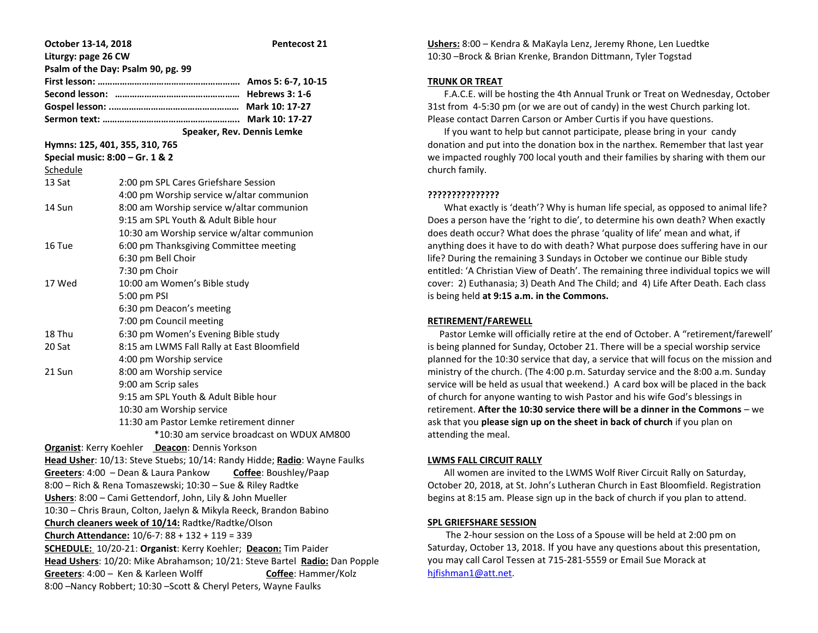| October 13-14, 2018                                                        |                                            | Pentecost 21 |
|----------------------------------------------------------------------------|--------------------------------------------|--------------|
| Liturgy: page 26 CW                                                        |                                            |              |
| Psalm of the Day: Psalm 90, pg. 99                                         |                                            |              |
|                                                                            |                                            |              |
|                                                                            |                                            |              |
|                                                                            |                                            |              |
|                                                                            |                                            |              |
|                                                                            | Speaker, Rev. Dennis Lemke                 |              |
| Hymns: 125, 401, 355, 310, 765                                             |                                            |              |
| Special music: 8:00 - Gr. 1 & 2                                            |                                            |              |
| Schedule                                                                   |                                            |              |
| 13 Sat                                                                     | 2:00 pm SPL Cares Griefshare Session       |              |
|                                                                            | 4:00 pm Worship service w/altar communion  |              |
| 14 Sun                                                                     | 8:00 am Worship service w/altar communion  |              |
|                                                                            | 9:15 am SPL Youth & Adult Bible hour       |              |
|                                                                            | 10:30 am Worship service w/altar communion |              |
| 16 Tue                                                                     | 6:00 pm Thanksgiving Committee meeting     |              |
|                                                                            | 6:30 pm Bell Choir                         |              |
|                                                                            | 7:30 pm Choir                              |              |
| 17 Wed                                                                     | 10:00 am Women's Bible study               |              |
|                                                                            | 5:00 pm PSI                                |              |
|                                                                            | 6:30 pm Deacon's meeting                   |              |
|                                                                            | 7:00 pm Council meeting                    |              |
| 18 Thu                                                                     | 6:30 pm Women's Evening Bible study        |              |
| 20 Sat                                                                     | 8:15 am LWMS Fall Rally at East Bloomfield |              |
|                                                                            | 4:00 pm Worship service                    |              |
| 21 Sun                                                                     | 8:00 am Worship service                    |              |
|                                                                            | 9:00 am Scrip sales                        |              |
|                                                                            | 9:15 am SPL Youth & Adult Bible hour       |              |
|                                                                            | 10:30 am Worship service                   |              |
|                                                                            | 11:30 am Pastor Lemke retirement dinner    |              |
| *10:30 am service broadcast on WDUX AM800                                  |                                            |              |
| Organist: Kerry Koehler Deacon: Dennis Yorkson                             |                                            |              |
| Head Usher: 10/13: Steve Stuebs; 10/14: Randy Hidde; Radio: Wayne Faulks   |                                            |              |
| Greeters: 4:00 - Dean & Laura Pankow Coffee: Boushley/Paap                 |                                            |              |
| 8:00 - Rich & Rena Tomaszewski; 10:30 - Sue & Riley Radtke                 |                                            |              |
| Ushers: 8:00 - Cami Gettendorf, John, Lily & John Mueller                  |                                            |              |
| 10:30 - Chris Braun, Colton, Jaelyn & Mikyla Reeck, Brandon Babino         |                                            |              |
| Church cleaners week of 10/14: Radtke/Radtke/Olson                         |                                            |              |
| Church Attendance: 10/6-7: 88 + 132 + 119 = 339                            |                                            |              |
| SCHEDULE: 10/20-21: Organist: Kerry Koehler; Deacon: Tim Paider            |                                            |              |
| Head Ushers: 10/20: Mike Abrahamson; 10/21: Steve Bartel Radio: Dan Popple |                                            |              |
| Greeters: 4:00 - Ken & Karleen Wolff<br>Coffee: Hammer/Kolz                |                                            |              |
| 8:00 - Nancy Robbert; 10:30 - Scott & Cheryl Peters, Wayne Faulks          |                                            |              |

**Ushers:** 8:00 – Kendra & MaKayla Lenz, Jeremy Rhone, Len Luedtke 10:30 –Brock & Brian Krenke, Brandon Dittmann, Tyler Togstad

### **TRUNK OR TREAT**

 F.A.C.E. will be hosting the 4th Annual Trunk or Treat on Wednesday, October 31st from 4-5:30 pm (or we are out of candy) in the west Church parking lot. Please contact Darren Carson or Amber Curtis if you have questions.

 If you want to help but cannot participate, please bring in your candy donation and put into the donation box in the narthex. Remember that last year we impacted roughly 700 local youth and their families by sharing with them our church family.

## **???????????????**

 What exactly is 'death'? Why is human life special, as opposed to animal life? Does a person have the 'right to die', to determine his own death? When exactly does death occur? What does the phrase 'quality of life' mean and what, if anything does it have to do with death? What purpose does suffering have in our life? During the remaining 3 Sundays in October we continue our Bible study entitled: 'A Christian View of Death'. The remaining three individual topics we will cover: 2) Euthanasia; 3) Death And The Child; and 4) Life After Death. Each class is being held **at 9:15 a.m. in the Commons.**

## **RETIREMENT/FAREWELL**

 Pastor Lemke will officially retire at the end of October. A "retirement/farewell' is being planned for Sunday, October 21. There will be a special worship service planned for the 10:30 service that day, a service that will focus on the mission and ministry of the church. (The 4:00 p.m. Saturday service and the 8:00 a.m. Sunday service will be held as usual that weekend.) A card box will be placed in the back of church for anyone wanting to wish Pastor and his wife God's blessings in retirement. **After the 10:30 service there will be a dinner in the Commons** – we ask that you **please sign up on the sheet in back of church** if you plan on attending the meal.

#### **LWMS FALL CIRCUIT RALLY**

 All women are invited to the LWMS Wolf River Circuit Rally on Saturday, October 20, 2018, at St. John's Lutheran Church in East Bloomfield. Registration begins at 8:15 am. Please sign up in the back of church if you plan to attend.

#### **SPL GRIEFSHARE SESSION**

 The 2-hour session on the Loss of a Spouse will be held at 2:00 pm on Saturday, October 13, 2018. If you have any questions about this presentation, you may call Carol Tessen at 715-281-5559 or Email Sue Morack at [hjfishman1@att.net.](mailto:hjfishman1@att.net)